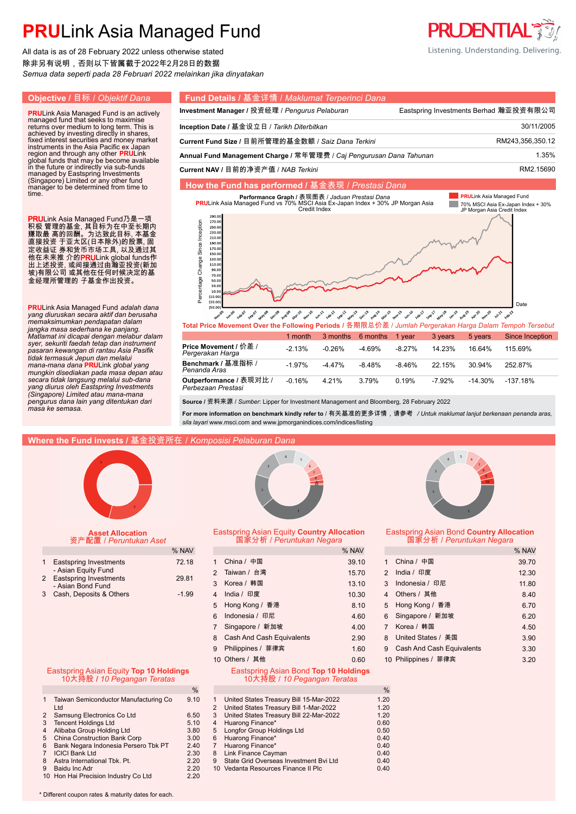All data is as of 28 February 2022 unless otherwise stated 除非另有说明,否则以下皆属截于2022年2月28日的数据 *Semua data seperti pada 28 Februari 2022 melainkan jika dinyatakan*

time.

#### **Objective /** 目标 / *Objektif Dana* **Fund Details /** 基金详情 / *Maklumat Terperinci Dana* **Investment Manager / 投资经理 / Pengurus Pelaburan Frame Eastspring Investments Berhad 瀚亚投资有限公司 PRU**Link Asia Managed Fund is an actively managed fund that seeks to maximise returns over medium to long term. This is achieved by investing directly in shares, **Inception Date /** 基金设立日 / *Tarikh Diterbitkan* 30/11/2005. **Current Fund Size /** 目前所管理的基金数额 / *Saiz Dana Terkini* RM243,356,350.12. fixed interest securities and money market instruments in the Asia Pacific ex Japan Annual Fund Management Charge / 常年管理费 / *Caj Pengurusan Dana Tahunan* 1.35% region and through any other **PRU**Link<br>global funds that may be become available<br>in the future or indirectly via sub-funds<br>managed by Eastspring Investments<br>(Singapore) Limited or any other fund<br>manager to be determined fr **Current NAV /** 目前的净资产值 / *NAB Terkini* RM2.15690. **How the Fund has performed /** 基金表现 / *Prestasi Dana* **PRULink Asia Managed Fund PRULink Asia Managed Fund vs 70% MB表 /** *Jaduan Prestasi Dana***<br>PRULink Asia Managed Fund vs 70% MSCI Asia Ex-Japan Index + 30% JP Morgan Asia<br>Credit Index Tale** *.* 70% MSCI Asia Ex-Japan Index + 30% JP Morgan Asia Credit Index PRULink Asia Managed Fund乃是一项  $270.0$ Percentage Change Since Inception Percentage Change Since Inception  $250.0$ 积极 管理的基金, 其目标为在中至长期内 230.0 赚取最 高的回酬。为达致此目标, 本基金  $210.0$ 直接投资 于亚太区(日本除外)的股票, 固  $190.0$ 170.0 定收益证 券和货币市场工具, 以及通过其  $150.0$ 他在未来推 介的**PRU**Link global funds作  $130.0$  $110.0$ 出上述投资, 或间接通过由瀚亚投资(新加  $90.1$ 坡)有限公司 或其他在任何时候决定的基 70.C 金经理所管理的 子基金作出投资。 30.  $\overline{10}$  $(10.0)$  $(30.0)$ **PRU**Link Asia Managed Fund *adalah dana*  Date *yang diuruskan secara aktif dan berusaha*  Febron Sepo **Mayos** Decos AURIT APITA Nov-20 Febr<sup>22</sup> August - naryl way to White cancer goes to work of the control work work of the control of the control work 1322 1312.39

*Matlamat ini dicapai dengan melabur dalam mungkin disediakan pada masa depan atau*  -2.13% -1.97% -0.16% -0.26%  $-4.47%$ 4.21% -4.69% -8.48% 3.79% -8.27% -8.46% 0.19% 14.23% 22.15% -7.92% 16.64% 30.94% -14.30% 115.69% 252.87% -137.18% 1 month 3 months 6 months 1 year 3 years 5 years Since Inception **Outperformance /** 表现对比 / *Perbezaan Prestasi* **Benchmark /** 基准指标 / *Penanda Aras* **Price Movement /** 价差 / *Pergerakan Harga* **Total Price Movement Over the Following Periods /** 各期限总价差 / *Jumlah Pergerakan Harga Dalam Tempoh Tersebut*

**Source /** 资料来源 / *Sumber*: Lipper for Investment Management and Bloomberg, 28 February 2022

**For more information on benchmark kindly refer to** / 有关基准的更多详情,请参考 */ Untuk maklumat lanjut berkenaan penanda aras, sila layari* www.msci.com and www.jpmorganindices.com/indices/listing

### **Where the Fund invests /** 基金投资所在 / *Komposisi Pelaburan Dana*



*memaksimumkan pendapatan dalam jangka masa sederhana ke panjang.* 

*syer, sekuriti faedah tetap dan instrument pasaran kewangan di rantau Asia Pasifik tidak termasuk Jepun dan melalui mana-mana dana* **PRU**Link *global yang* 

*secara tidak langsung melalui sub-dana yang diurus oleh Eastspring Investments (Singapore) Limited atau mana-mana pengurus dana lain yang ditentukan dari* 

*masa ke semasa.*

### **Asset Allocation** 资产配置 / *Peruntukan Aset*

| 1 Eastspring Investments                        | 72.18   |
|-------------------------------------------------|---------|
| - Asian Equity Fund<br>2 Eastspring Investments | 29.81   |
| - Asian Bond Fund                               |         |
| 3 Cash, Deposits & Others                       | $-1.99$ |

### Eastspring Asian Equity **Top 10 Holdings** 10大持股 **/** *10 Pegangan Teratas*

|   | Taiwan Semiconductor Manufacturing Co<br>Ltd | 9.10 |
|---|----------------------------------------------|------|
| 2 | Samsung Electronics Co Ltd                   | 6.50 |
| 3 | <b>Tencent Holdings Ltd</b>                  | 5.10 |
| 4 | Alibaba Group Holding Ltd                    | 3.80 |
| 5 | <b>China Construction Bank Corp</b>          | 3.00 |
| 6 | Bank Negara Indonesia Persero Tbk PT         | 2.40 |
|   | <b>ICICI Bank Ltd</b>                        | 2.30 |
| 8 | Astra International Tbk. Pt.                 | 2.20 |
| 9 | Baidu Inc Adr                                | 2.20 |
|   | 10 Hon Hai Precision Industry Co Ltd         | 2.20 |
|   |                                              |      |

\* Different coupon rates & maturity dates for each.



### Eastspring Asian Equity **Country Allocation** 国家分析 / *Peruntukan Negara*

| % NAV                                |   |                                       | % NAV |   |                             | % NAV |
|--------------------------------------|---|---------------------------------------|-------|---|-----------------------------|-------|
| 72.18                                |   | China / 中国                            | 39.10 | 1 | China / 中国                  | 39.70 |
| 29.81                                |   | 2 Taiwan / 台湾                         | 15.70 |   | 2 India / 印度                | 12.30 |
|                                      |   | 3 Korea / 韩国                          | 13.10 |   | 3 Indonesia / 印尼            | 11.80 |
| $-1.99$                              |   | 4 India / 印度                          | 10.30 |   | 4 Others / 其他               | 8.40  |
|                                      |   | 5 Hong Kong / 香港                      | 8.10  |   | 5 Hong Kong / 香港            | 6.70  |
|                                      | 6 | Indonesia / 印尼                        | 4.60  |   | 6 Singapore / 新加坡           | 6.20  |
|                                      |   | Singapore / 新加坡                       | 4.00  |   | 7 Korea / 韩国                | 4.50  |
|                                      |   | 8 Cash And Cash Equivalents           | 2.90  |   | 8 United States / 美国        | 3.90  |
|                                      |   | 9 Philippines / 菲律宾                   | 1.60  |   | 9 Cash And Cash Equivalents | 3.30  |
|                                      |   | 10 Others / 其他                        | 0.60  |   | 10 Philippines / 菲律宾        | 3.20  |
| $\mathbf{H} = \mathbf{H} \mathbf{H}$ |   | Festancing Asian Band Tax 40 Haldings |       |   |                             |       |

#### Eastspring Asian Bond **Top 10 Holdings** 10大持股 / *10 Pegangan Teratas*

| %  |   |                                         | $\%$ |
|----|---|-----------------------------------------|------|
| 10 |   | United States Treasury Bill 15-Mar-2022 | 1.20 |
|    | 2 | United States Treasury Bill 1-Mar-2022  | 1.20 |
| 50 | 3 | United States Treasury Bill 22-Mar-2022 | 1.20 |
| 10 | 4 | Huarong Finance*                        | 0.60 |
| 80 | 5 | <b>Longfor Group Holdings Ltd</b>       | 0.50 |
| 00 | 6 | Huarong Finance*                        | 0.40 |
| 40 |   | Huarong Finance*                        | 0.40 |
| 30 | 8 | Link Finance Cayman                     | 0.40 |
| 20 | 9 | State Grid Overseas Investment Bvi Ltd  | 0.40 |
| 20 |   | 10 Vedanta Resources Finance II Plc     | 0.40 |
|    |   |                                         |      |



### Eastspring Asian Bond **Country Allocation** 国家分析 / *Peruntukan Negara*

|               |                                  | % NAV |
|---------------|----------------------------------|-------|
| $\mathbf{1}$  | China / 中国                       | 39.70 |
| $\mathcal{P}$ | India / 印度                       | 12.30 |
| $\mathcal{R}$ | Indonesia / 印尼                   | 11.80 |
| 4             | Others / 其他                      | 8.40  |
| 5             | Hong Kong / 香港                   | 6.70  |
| 6             | Singapore / 新加坡                  | 6.20  |
|               | 7 Korea / 韩国                     | 4.50  |
| 8             | United States / 美国               | 3.90  |
| 9             | <b>Cash And Cash Equivalents</b> | 3.30  |
|               | 10 Philippines / 菲律宾             | 3.20  |



Listening. Understanding. Delivering.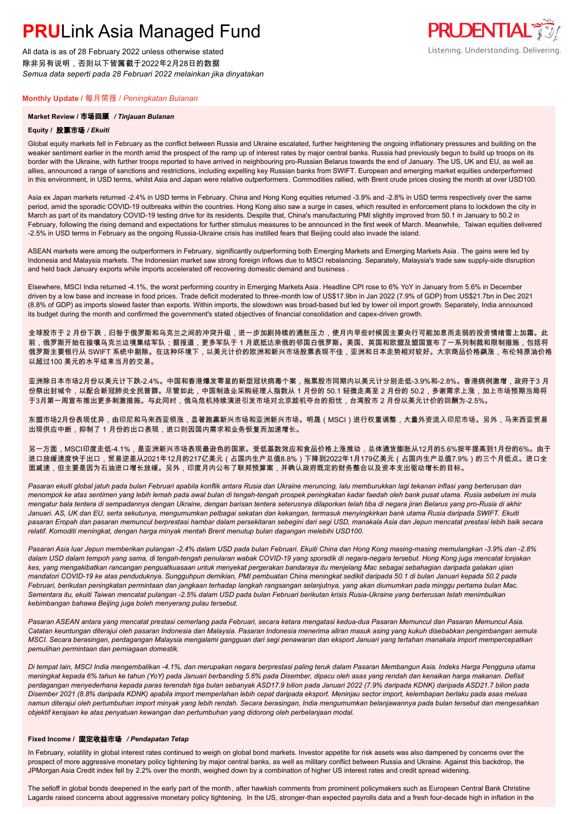All data is as of 28 February 2022 unless otherwise stated 除非另有说明,否则以下皆属截于2022年2月28日的数据 *Semua data seperti pada 28 Februari 2022 melainkan jika dinyatakan*

### **Monthly Update /** 每月简报 / *Peningkatan Bulanan*

### **Market Review /** 市场回顾 */ Tinjauan Bulanan*

### **Equity /** 股票市场 */ Ekuiti .*

Global equity markets fell in February as the conflict between Russia and Ukraine escalated, further heightening the ongoing inflationary pressures and building on the weaker sentiment earlier in the month amid the prospect of the ramp up of interest rates by major central banks. Russia had previously begun to build up troops on its border with the Ukraine, with further troops reported to have arrived in neighbouring pro-Russian Belarus towards the end of January. The US, UK and EU, as well as allies, announced a range of sanctions and restrictions, including expelling key Russian banks from SWIFT. European and emerging market equities underperformed in this environment, in USD terms, whilst Asia and Japan were relative outperformers. Commodities rallied, with Brent crude prices closing the month at over USD100.

**PRUDENTIAL FILL** 

Listening. Understanding. Delivering.

Asia ex Japan markets returned -2.4% in USD terms in February. China and Hong Kong equities returned -3.9% and -2.8% in USD terms respectively over the same period, amid the sporadic COVID-19 outbreaks within the countries. Hong Kong also saw a surge in cases, which resulted in enforcement plans to lockdown the city in March as part of its mandatory COVID-19 testing drive for its residents. Despite that, China's manufacturing PMI slightly improved from 50.1 in January to 50.2 in February, following the rising demand and expectations for further stimulus measures to be announced in the first week of March. Meanwhile, Taiwan equities delivered -2.5% in USD terms in February as the ongoing Russia-Ukraine crisis has instilled fears that Beijing could also invade the island.

ASEAN markets were among the outperformers in February, significantly outperforming both Emerging Markets and Emerging Markets Asia . The gains were led by Indonesia and Malaysia markets. The Indonesian market saw strong foreign inflows due to MSCI rebalancing. Separately, Malaysia's trade saw supply-side disruption and held back January exports while imports accelerated off recovering domestic demand and business .

Elsewhere, MSCI India returned -4.1%, the worst performing country in Emerging Markets Asia. Headline CPI rose to 6% YoY in January from 5.6% in December driven by a low base and increase in food prices. Trade deficit moderated to three-month low of US\$17.9bn in Jan 2022 (7.9% of GDP) from US\$21.7bn in Dec 2021 (8.8% of GDP) as imports slowed faster than exports. Within imports, the slowdown was broad-based but led by lower oil import growth. Separately, India announced its budget during the month and confirmed the government's stated objectives of financial consolidation and capex-driven growth.

全球股市于 2 月份下跌,归咎于俄罗斯和乌克兰之间的冲突升级,进一步加剧持续的通胀压力,使月内早些时候因主要央行可能加息而走弱的投资情绪雪上加霜。此 前,俄罗斯开始在接壤乌克兰边境集结军队;据报道,更多军队于 1 月底抵达亲俄的邻国白俄罗斯。美国、英国和欧盟及盟国宣布了一系列制裁和限制措施,包括将 俄罗斯主要银行从 SWIFT 系统中剔除。在这种环境下,以美元计价的欧洲和新兴市场股票表现不佳,亚洲和日本走势相对较好。大宗商品价格飙涨,布伦特原油价格 以超过100 美元的水平结束当月的交易。

亚洲除日本市场2月份以美元计下跌-2.4%。中国和香港爆发零星的新型冠状病毒个案,拖累股市同期内以美元计分别走低-3.9%和-2.8%。香港病例激增,政府于3 月 份祭出封城令,以配合新冠肺炎全民普篩。尽管如此,中国制造业采购经理人指数从 1 月份的 50.1 轻微走高至 2 月份的 50.2,多谢需求上涨,加上市场预期当局将 于3月第一周宣布推出更多刺激措施。与此同时,俄乌危机持续演进引发市场对北京趁机夺台的担忧,台湾股市 2 月份以美元计价的回酬为-2.5%。

东盟市场2月份表现优异,由印尼和马来西亚领涨,显著跑赢新兴市场和亚洲新兴市场。明晟(MSCI)进行权重调整,大量外资流入印尼市场。另外,马来西亚贸易 出现供应中断,抑制了 1 月份的出口表现,进口则因国内需求和业务恢复而加速增长。

另一方面,MSCI印度走低-4.1%,是亚洲新兴市场表现最逊色的国家。受低基数效应和食品价格上涨推动,总体通货膨胀从12月的5.6%按年提高到1月份的6%。由于 进口放缓速度快于出口,贸易逆差从2021年12月的217亿美元(占国内生产总值8.8%)下降到2022年1月179亿美元(占国内生产总值7.9%)的三个月低点。进口全 面减速,但主要是因为石油进口增长放缓。另外,印度月内公布了联邦预算案,并确认政府既定的财务整合以及资本支出驱动增长的目标。

*Pasaran ekuiti global jatuh pada bulan Februari apabila konflik antara Rusia dan Ukraine meruncing, lalu memburukkan lagi tekanan inflasi yang berterusan dan menompok ke atas sentimen yang lebih lemah pada awal bulan di tengah-tengah prospek peningkatan kadar faedah oleh bank pusat utama. Rusia sebelum ini mula mengatur bala tentera di sempadannya dengan Ukraine, dengan barisan tentera seterusnya dilaporkan telah tiba di negara jiran Belarus yang pro-Rusia di akhir Januari. AS, UK dan EU, serta sekutunya, mengumumkan pelbagai sekatan dan kekangan, termasuk menyingkirkan bank utama Rusia daripada SWIFT. Ekuiti pasaran Eropah dan pasaran memuncul berprestasi hambar dalam persekitaran sebegini dari segi USD, manakala Asia dan Jepun mencatat prestasi lebih baik secara relatif. Komoditi meningkat, dengan harga minyak mentah Brent menutup bulan dagangan melebihi USD100.*

*Pasaran Asia luar Jepun memberikan pulangan -2.4% dalam USD pada bulan Februari. Ekuiti China dan Hong Kong masing-masing memulangkan -3.9% dan -2.8% dalam USD dalam tempoh yang sama, di tengah-tengah penularan wabak COVID-19 yang sporadik di negara-negara tersebut. Hong Kong juga mencatat lonjakan kes, yang mengakibatkan rancangan penguatkuasaan untuk menyekat pergerakan bandaraya itu menjelang Mac sebagai sebahagian daripada galakan ujian mandatori COVID-19 ke atas penduduknya. Sungguhpun demikian, PMI pembuatan China meningkat sedikit daripada 50.1 di bulan Januari kepada 50.2 pada Februari, berikutan peningkatan permintaan dan jangkaan terhadap langkah rangsangan selanjutnya, yang akan diumumkan pada minggu pertama bulan Mac. Sementara itu, ekuiti Taiwan mencatat pulangan -2.5% dalam USD pada bulan Februari berikutan krisis Rusia-Ukraine yang berterusan telah menimbulkan kebimbangan bahawa Beijing juga boleh menyerang pulau tersebut.*

*Pasaran ASEAN antara yang mencatat prestasi cemerlang pada Februari, secara ketara mengatasi kedua-dua Pasaran Memuncul dan Pasaran Memuncul Asia. Catatan keuntungan diterajui oleh pasaran Indonesia dan Malaysia. Pasaran Indonesia menerima aliran masuk asing yang kukuh disebabkan pengimbangan semula MSCI. Secara berasingan, perdagangan Malaysia mengalami gangguan dari segi penawaran dan eksport Januari yang tertahan manakala import mempercepatkan pemulihan permintaan dan perniagaan domestik.*

*Di tempat lain, MSCI India mengembalikan -4.1%, dan merupakan negara berprestasi paling teruk dalam Pasaran Membangun Asia. Indeks Harga Pengguna utama meningkat kepada 6% tahun ke tahun (YoY) pada Januari berbanding 5.6% pada Disember, dipacu oleh asas yang rendah dan kenaikan harga makanan. Defisit perdagangan menyederhana kepada paras terendah tiga bulan sebanyak ASD17.9 bilion pada Januari 2022 (7.9% daripada KDNK) daripada ASD21.7 bilion pada Disember 2021 (8.8% daripada KDNK) apabila import memperlahan lebih cepat daripada eksport. Meninjau sector import, kelembapan berlaku pada asas meluas namun diterajui oleh pertumbuhan import minyak yang lebih rendah. Secara berasingan, India mengumumkan belanjawannya pada bulan tersebut dan mengesahkan objektif kerajaan ke atas penyatuan kewangan dan pertumbuhan yang didorong oleh perbelanjaan modal.*

### **Fixed Income /** 固定收益市场 */ Pendapatan Tetap*

In February, volatility in global interest rates continued to weigh on global bond markets. Investor appetite for risk assets was also dampened by concerns over the prospect of more aggressive monetary policy tightening by major central banks, as well as military conflict between Russia and Ukraine. Against this backdrop, the JPMorgan Asia Credit index fell by 2.2% over the month, weighed down by a combination of higher US interest rates and credit spread widening.

The selloff in global bonds deepened in the early part of the month , after hawkish comments from prominent policymakers such as European Central Bank Christine Lagarde raised concerns about aggressive monetary policy tightening. In the US, stronger-than expected payrolls data and a fresh four-decade high in inflation in the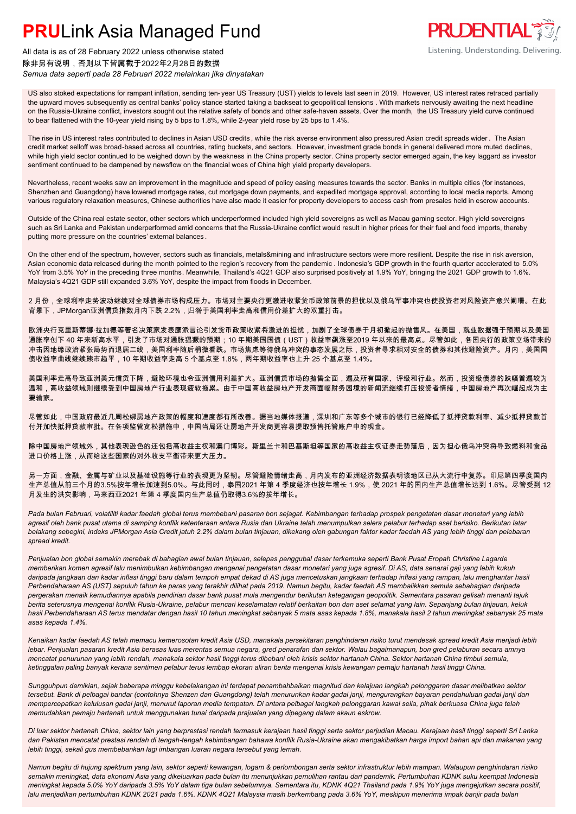

All data is as of 28 February 2022 unless otherwise stated 除非另有说明,否则以下皆属截于2022年2月28日的数据 *Semua data seperti pada 28 Februari 2022 melainkan jika dinyatakan*

US also stoked expectations for rampant inflation, sending ten- year US Treasury (UST) yields to levels last seen in 2019. However, US interest rates retraced partially the upward moves subsequently as central banks' policy stance started taking a backseat to geopolitical tensions . With markets nervously awaiting the next headline on the Russia-Ukraine conflict, investors sought out the relative safety of bonds and other safe-haven assets. Over the month, the US Treasury yield curve continued to bear flattened with the 10-year yield rising by 5 bps to 1.8%, while 2-year yield rose by 25 bps to 1.4%.

The rise in US interest rates contributed to declines in Asian USD credits , while the risk averse environment also pressured Asian credit spreads wider . The Asian credit market selloff was broad-based across all countries, rating buckets, and sectors. However, investment grade bonds in general delivered more muted declines, while high yield sector continued to be weighed down by the weakness in the China property sector. China property sector emerged again, the key laggard as investor sentiment continued to be dampened by newsflow on the financial woes of China high yield property developers.

Nevertheless, recent weeks saw an improvement in the magnitude and speed of policy easing measures towards the sector. Banks in multiple cities (for instances, Shenzhen and Guangdong) have lowered mortgage rates, cut mortgage down payments, and expedited mortgage approval, according to local media reports. Among various regulatory relaxation measures, Chinese authorities have also made it easier for property developers to access cash from presales held in escrow accounts.

Outside of the China real estate sector, other sectors which underperformed included high yield sovereigns as well as Macau gaming sector. High yield sovereigns such as Sri Lanka and Pakistan underperformed amid concerns that the Russia-Ukraine conflict would result in higher prices for their fuel and food imports, thereby putting more pressure on the countries' external balances .

On the other end of the spectrum, however, sectors such as financials, metals&mining and infrastructure sectors were more resilient. Despite the rise in risk aversion, Asian economic data released during the month pointed to the region's recovery from the pandemic . Indonesia's GDP growth in the fourth quarter accelerated to 5.0% YoY from 3.5% YoY in the preceding three months. Meanwhile, Thailand's 4Q21 GDP also surprised positively at 1.9% YoY, bringing the 2021 GDP growth to 1.6%. Malaysia's 4Q21 GDP still expanded 3.6% YoY, despite the impact from floods in December.

2 月份,全球利率走势波动继续对全球债券市场构成压力。市场对主要央行更激进收紧货币政策前景的担忧以及俄乌军事冲突也使投资者对风险资产意兴阑珊。在此 背景下,JPMorgan亚洲信贷指数月内下跌 2.2%,归咎于美国利率走高和信用价差扩大的双重打击。

欧洲央行克里斯蒂娜·拉加德等著名决策家发表鹰派言论引发货币政策收紧将激进的担忧,加剧了全球债券于月初掀起的抛售风。在美国,就业数据强于预期以及美国 通胀率创下 40 年来新高水平,引发了市场对通胀猖獗的预期;10 年期美国国债(UST)收益率飙涨至2019 年以来的最高点。尽管如此,各国央行的政策立场带来的 冲击因地缘政治紧张局势而退居二线,美国利率随后稍微看跌。市场焦虑等待俄乌冲突的事态发展之际,投资者寻求相对安全的债券和其他避险资产。月内,美国国 债收益率曲线继续熊市趋平,10 年期收益率走高 5 个基点至 1.8%,两年期收益率也上升 25 个基点至 1.4%。

美国利率走高导致亚洲美元信贷下降,避险环境也令亚洲信用利差扩大。亚洲信贷市场的抛售全面,遍及所有国家、评级和行业。然而,投资级债券的跌幅普遍较为 温和,高收益领域则继续受到中国房地产行业表现疲软拖累。由于中国高收益房地产开发商面临财务困境的新闻流继续打压投资者情绪,中国房地产再次崛起成为主 要输家。

尽管如此,中国政府最近几周松绑房地产政策的幅度和速度都有所改善。据当地媒体报道,深圳和广东等多个城市的银行已经降低了抵押贷款利率、减少抵押贷款首 付并加快抵押贷款审批。在各项监管宽松措施中,中国当局还让房地产开发商更容易提取预售托管账户中的现金。

除中国房地产领域外,其他表现逊色的还包括高收益主权和澳门博彩。斯里兰卡和巴基斯坦等国家的高收益主权证券走势落后,因为担心俄乌冲突将导致燃料和食品 进口价格上涨,从而给这些国家的对外收支平衡带来更大压力。

另一方面,金融、金属与矿业以及基础设施等行业的表现更为坚韧。尽管避险情绪走高,月内发布的亚洲经济数据表明该地区已从大流行中复苏。印尼第四季度国内 生产总值从前三个月的3.5%按年增长加速到5.0%。与此同时,泰国2021 年第 4 季度经济也按年增长 1.9%,使 2021 年的国内生产总值增长达到 1.6%。尽管受到 12 月发生的洪灾影响,马来西亚2021 年第 4 季度国内生产总值仍取得3.6%的按年增长。

*Pada bulan Februari, volatiliti kadar faedah global terus membebani pasaran bon sejagat. Kebimbangan terhadap prospek pengetatan dasar monetari yang lebih agresif oleh bank pusat utama di samping konflik ketenteraan antara Rusia dan Ukraine telah menumpulkan selera pelabur terhadap aset berisiko. Berikutan latar belakang sebegini, indeks JPMorgan Asia Credit jatuh 2.2% dalam bulan tinjauan, dikekang oleh gabungan faktor kadar faedah AS yang lebih tinggi dan pelebaran spread kredit.*

*Penjualan bon global semakin merebak di bahagian awal bulan tinjauan, selepas penggubal dasar terkemuka seperti Bank Pusat Eropah Christine Lagarde memberikan komen agresif lalu menimbulkan kebimbangan mengenai pengetatan dasar monetari yang juga agresif. Di AS, data senarai gaji yang lebih kukuh daripada jangkaan dan kadar inflasi tinggi baru dalam tempoh empat dekad di AS juga mencetuskan jangkaan terhadap inflasi yang rampan, lalu menghantar hasil Perbendaharaan AS (UST) sepuluh tahun ke paras yang terakhir dilihat pada 2019. Namun begitu, kadar faedah AS membalikkan semula sebahagian daripada pergerakan menaik kemudiannya apabila pendirian dasar bank pusat mula mengendur berikutan ketegangan geopolitik. Sementara pasaran gelisah menanti tajuk berita seterusnya mengenai konflik Rusia-Ukraine, pelabur mencari keselamatan relatif berkaitan bon dan aset selamat yang lain. Sepanjang bulan tinjauan, keluk hasil Perbendaharaan AS terus mendatar dengan hasil 10 tahun meningkat sebanyak 5 mata asas kepada 1.8%, manakala hasil 2 tahun meningkat sebanyak 25 mata asas kepada 1.4%.*

*Kenaikan kadar faedah AS telah memacu kemerosotan kredit Asia USD, manakala persekitaran penghindaran risiko turut mendesak spread kredit Asia menjadi lebih lebar. Penjualan pasaran kredit Asia berasas luas merentas semua negara, gred penarafan dan sektor. Walau bagaimanapun, bon gred pelaburan secara amnya mencatat penurunan yang lebih rendah, manakala sektor hasil tinggi terus dibebani oleh krisis sektor hartanah China. Sektor hartanah China timbul semula, ketinggalan paling banyak kerana sentimen pelabur terus lembap ekoran aliran berita mengenai krisis kewangan pemaju hartanah hasil tinggi China.*

*Sungguhpun demikian, sejak beberapa minggu kebelakangan ini terdapat penambahbaikan magnitud dan kelajuan langkah pelonggaran dasar melibatkan sektor tersebut. Bank di pelbagai bandar (contohnya Shenzen dan Guangdong) telah menurunkan kadar gadai janji, mengurangkan bayaran pendahuluan gadai janji dan mempercepatkan kelulusan gadai janji, menurut laporan media tempatan. Di antara pelbagai langkah pelonggaran kawal selia, pihak berkuasa China juga telah memudahkan pemaju hartanah untuk menggunakan tunai daripada prajualan yang dipegang dalam akaun eskrow.*

*Di luar sektor hartanah China, sektor lain yang berprestasi rendah termasuk kerajaan hasil tinggi serta sektor perjudian Macau. Kerajaan hasil tinggi seperti Sri Lanka dan Pakistan mencatat prestasi rendah di tengah-tengah kebimbangan bahawa konflik Rusia-Ukraine akan mengakibatkan harga import bahan api dan makanan yang lebih tinggi, sekali gus membebankan lagi imbangan luaran negara tersebut yang lemah.*

*Namun begitu di hujung spektrum yang lain, sektor seperti kewangan, logam & perlombongan serta sektor infrastruktur lebih mampan. Walaupun penghindaran risiko semakin meningkat, data ekonomi Asia yang dikeluarkan pada bulan itu menunjukkan pemulihan rantau dari pandemik. Pertumbuhan KDNK suku keempat Indonesia meningkat kepada 5.0% YoY daripada 3.5% YoY dalam tiga bulan sebelumnya. Sementara itu, KDNK 4Q21 Thailand pada 1.9% YoY juga mengejutkan secara positif, lalu menjadikan pertumbuhan KDNK 2021 pada 1.6%. KDNK 4Q21 Malaysia masih berkembang pada 3.6% YoY, meskipun menerima impak banjir pada bulan*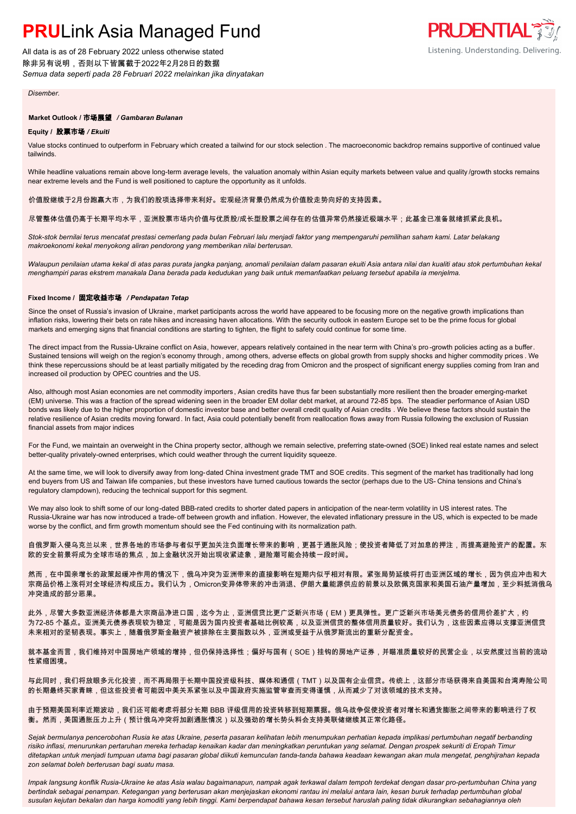All data is as of 28 February 2022 unless otherwise stated 除非另有说明,否则以下皆属截于2022年2月28日的数据 *Semua data seperti pada 28 Februari 2022 melainkan jika dinyatakan*



*Disember.*

### **Market Outlook /** 市场展望 */ Gambaran Bulanan*

### **Equity /** 股票市场 */ Ekuiti .*

Value stocks continued to outperform in February which created a tailwind for our stock selection . The macroeconomic backdrop remains supportive of continued value tailwinds.

While headline valuations remain above long-term average levels, the valuation anomaly within Asian equity markets between value and quality /growth stocks remains near extreme levels and the Fund is well positioned to capture the opportunity as it unfolds.

#### 价值股继续于2月份跑赢大市,为我们的股项选择带来利好。宏观经济背景仍然成为价值股走势向好的支持因素。

### 尽管整体估值仍高于长期平均水平,亚洲股票市场内价值与优质股/成长型股票之间存在的估值异常仍然接近极端水平;此基金已准备就绪抓紧此良机。

*Stok-stok bernilai terus mencatat prestasi cemerlang pada bulan Februari lalu menjadi faktor yang mempengaruhi pemilihan saham kami. Latar belakang makroekonomi kekal menyokong aliran pendorong yang memberikan nilai berterusan.*

*Walaupun penilaian utama kekal di atas paras purata jangka panjang, anomali penilaian dalam pasaran ekuiti Asia antara nilai dan kualiti atau stok pertumbuhan kekal menghampiri paras ekstrem manakala Dana berada pada kedudukan yang baik untuk memanfaatkan peluang tersebut apabila ia menjelma.*

### **Fixed Income /** 固定收益市场 */ Pendapatan Tetap*

Since the onset of Russia's invasion of Ukraine, market participants across the world have appeared to be focusing more on the negative growth implications than inflation risks, lowering their bets on rate hikes and increasing haven allocations. With the security outlook in eastern Europe set to be the prime focus for global markets and emerging signs that financial conditions are starting to tighten, the flight to safety could continue for some time.

The direct impact from the Russia-Ukraine conflict on Asia, however, appears relatively contained in the near term with China's pro -growth policies acting as a buffer. Sustained tensions will weigh on the region's economy through, among others, adverse effects on global growth from supply shocks and higher commodity prices. We think these repercussions should be at least partially mitigated by the receding drag from Omicron and the prospect of significant energy supplies coming from Iran and increased oil production by OPEC countries and the US.

Also, although most Asian economies are net commodity importers , Asian credits have thus far been substantially more resilient then the broader emerging-market (EM) universe. This was a fraction of the spread widening seen in the broader EM dollar debt market, at around 72-85 bps. The steadier performance of Asian USD bonds was likely due to the higher proportion of domestic investor base and better overall credit quality of Asian credits . We believe these factors should sustain the relative resilience of Asian credits moving forward. In fact, Asia could potentially benefit from reallocation flows away from Russia following the exclusion of Russian financial assets from major indices

For the Fund, we maintain an overweight in the China property sector, although we remain selective, preferring state-owned (SOE) linked real estate names and select better-quality privately-owned enterprises, which could weather through the current liquidity squeeze.

At the same time, we will look to diversify away from long-dated China investment grade TMT and SOE credits. This segment of the market has traditionally had long end buyers from US and Taiwan life companies, but these investors have turned cautious towards the sector (perhaps due to the US- China tensions and China's regulatory clampdown), reducing the technical support for this segment.

We may also look to shift some of our long-dated BBB-rated credits to shorter dated papers in anticipation of the near-term volatility in US interest rates. The Russia-Ukraine war has now introduced a trade-off between growth and inflation. However, the elevated inflationary pressure in the US, which is expected to be made worse by the conflict, and firm growth momentum should see the Fed continuing with its normalization path.

自俄罗斯入侵乌克兰以来,世界各地的市场参与者似乎更加关注负面增长带来的影响,更甚于通胀风险;使投资者降低了对加息的押注,而提高避险资产的配置。东 欧的安全前景将成为全球市场的焦点,加上金融状况开始出现收紧迹象,避险潮可能会持续一段时间。

然而,在中国亲增长的政策起缓冲作用的情况下,俄乌冲突为亚洲带来的直接影响在短期内似乎相对有限。紧张局势延续将打击亚洲区域的增长,因为供应冲击和大 宗商品价格上涨将对全球经济构成压力。我们认为,Omicron变异体带来的冲击消退、伊朗大量能源供应的前景以及欧佩克国家和美国石油产量增加,至少料抵消俄乌 冲突造成的部分恶果。

此外,尽管大多数亚洲经济体都是大宗商品净进口国,迄今为止,亚洲信贷比更广泛新兴市场(EM)更具弹性。更广泛新兴市场美元债务的信用价差扩大,约 为72-85 个基点。亚洲美元债券表现较为稳定,可能是因为国内投资者基础比例较高,以及亚洲信贷的整体信用质量较好。我们认为,这些因素应得以支撑亚洲信贷 未来相对的坚韧表现。事实上,随着俄罗斯金融资产被排除在主要指数以外,亚洲或受益于从俄罗斯流出的重新分配资金。

就本基金而言,我们维持对中国房地产领域的增持,但仍保持选择性;偏好与国有(SOE)挂钩的房地产证券,并瞄准质量较好的民营企业,以安然度过当前的流动 性紧缩困境。

与此同时,我们将放眼多元化投资,而不再局限于长期中国投资级科技、媒体和通信(TMT)以及国有企业信贷。传统上,这部分市场获得来自美国和台湾寿险公司 的长期最终买家青睐,但这些投资者可能因中美关系紧张以及中国政府实施监管审查而变得谨慎,从而减少了对该领域的技术支持。

由于预期美国利率近期波动,我们还可能考虑将部分长期 BBB 评级信用的投资转移到短期票据。俄乌战争促使投资者对增长和通货膨胀之间带来的影响进行了权 衡。然而,美国通胀压力上升(预计俄乌冲突将加剧通胀情况)以及强劲的增长势头料会支持美联储继续其正常化路径。

*Sejak bermulanya pencerobohan Rusia ke atas Ukraine, peserta pasaran kelihatan lebih menumpukan perhatian kepada implikasi pertumbuhan negatif berbanding risiko inflasi, menurunkan pertaruhan mereka terhadap kenaikan kadar dan meningkatkan peruntukan yang selamat. Dengan prospek sekuriti di Eropah Timur ditetapkan untuk menjadi tumpuan utama bagi pasaran global diikuti kemunculan tanda-tanda bahawa keadaan kewangan akan mula mengetat, penghijrahan kepada zon selamat boleh berterusan bagi suatu masa.*

*Impak langsung konflik Rusia-Ukraine ke atas Asia walau bagaimanapun, nampak agak terkawal dalam tempoh terdekat dengan dasar pro-pertumbuhan China yang bertindak sebagai penampan. Ketegangan yang berterusan akan menjejaskan ekonomi rantau ini melalui antara lain, kesan buruk terhadap pertumbuhan global susulan kejutan bekalan dan harga komoditi yang lebih tinggi. Kami berpendapat bahawa kesan tersebut haruslah paling tidak dikurangkan sebahagiannya oleh*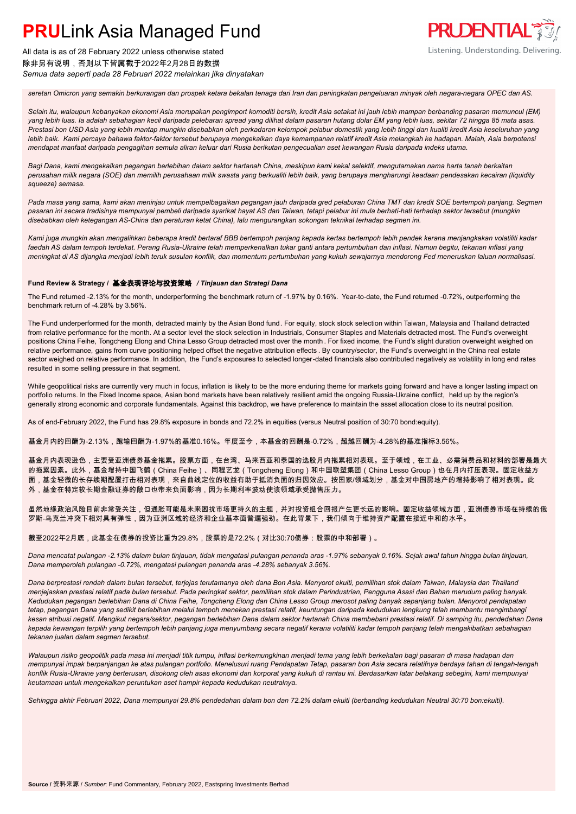

All data is as of 28 February 2022 unless otherwise stated 除非另有说明,否则以下皆属截于2022年2月28日的数据 *Semua data seperti pada 28 Februari 2022 melainkan jika dinyatakan*

*seretan Omicron yang semakin berkurangan dan prospek ketara bekalan tenaga dari Iran dan peningkatan pengeluaran minyak oleh negara-negara OPEC dan AS.*

*Selain itu, walaupun kebanyakan ekonomi Asia merupakan pengimport komoditi bersih, kredit Asia setakat ini jauh lebih mampan berbanding pasaran memuncul (EM) yang lebih luas. Ia adalah sebahagian kecil daripada pelebaran spread yang dilihat dalam pasaran hutang dolar EM yang lebih luas, sekitar 72 hingga 85 mata asas. Prestasi bon USD Asia yang lebih mantap mungkin disebabkan oleh perkadaran kelompok pelabur domestik yang lebih tinggi dan kualiti kredit Asia keseluruhan yang lebih baik. Kami percaya bahawa faktor-faktor tersebut berupaya mengekalkan daya kemampanan relatif kredit Asia melangkah ke hadapan. Malah, Asia berpotensi mendapat manfaat daripada pengagihan semula aliran keluar dari Rusia berikutan pengecualian aset kewangan Rusia daripada indeks utama.*

*Bagi Dana, kami mengekalkan pegangan berlebihan dalam sektor hartanah China, meskipun kami kekal selektif, mengutamakan nama harta tanah berkaitan perusahan milik negara (SOE) dan memilih perusahaan milik swasta yang berkualiti lebih baik, yang berupaya mengharungi keadaan pendesakan kecairan (liquidity squeeze) semasa.*

Pada masa yang sama, kami akan meninjau untuk mempelbagaikan pegangan jauh daripada gred pelaburan China TMT dan kredit SOE bertempoh panjang. Segmen *pasaran ini secara tradisinya mempunyai pembeli daripada syarikat hayat AS dan Taiwan, tetapi pelabur ini mula berhati-hati terhadap sektor tersebut (mungkin disebabkan oleh ketegangan AS-China dan peraturan ketat China), lalu mengurangkan sokongan teknikal terhadap segmen ini.*

*Kami juga mungkin akan mengalihkan beberapa kredit bertaraf BBB bertempoh panjang kepada kertas bertempoh lebih pendek kerana menjangkakan volatiliti kadar faedah AS dalam tempoh terdekat. Perang Rusia-Ukraine telah memperkenalkan tukar ganti antara pertumbuhan dan inflasi. Namun begitu, tekanan inflasi yang meningkat di AS dijangka menjadi lebih teruk susulan konflik, dan momentum pertumbuhan yang kukuh sewajarnya mendorong Fed meneruskan laluan normalisasi.*

### **Fund Review & Strategy /** 基金表现评论与投资策略 */ Tinjauan dan Strategi Dana*

The Fund returned -2.13% for the month, underperforming the benchmark return of -1.97% by 0.16%. Year-to-date, the Fund returned -0.72%, outperforming the benchmark return of -4.28% by 3.56%.

The Fund underperformed for the month, detracted mainly by the Asian Bond fund. For equity, stock stock selection within Taiwan, Malaysia and Thailand detracted from relative performance for the month. At a sector level the stock selection in Industrials, Consumer Staples and Materials detracted most. The Fund's overweight positions China Feihe, Tongcheng Elong and China Lesso Group detracted most over the month . For fixed income, the Fund's slight duration overweight weighed on relative performance, gains from curve positioning helped offset the negative attribution effects . By country/sector, the Fund's overweight in the China real estate sector weighed on relative performance. In addition, the Fund's exposures to selected longer-dated financials also contributed negatively as volatility in long end rates resulted in some selling pressure in that segment.

While geopolitical risks are currently very much in focus, inflation is likely to be the more enduring theme for markets going forward and have a longer lasting impact on portfolio returns. In the Fixed Income space, Asian bond markets have been relatively resilient amid the ongoing Russia-Ukraine conflict, held up by the region's generally strong economic and corporate fundamentals. Against this backdrop, we have preference to maintain the asset allocation close to its neutral position.

As of end-February 2022, the Fund has 29.8% exposure in bonds and 72.2% in equities (versus Neutral position of 30:70 bond:equity).

基金月内的回酬为-2.13%,跑输回酬为-1.97%的基准0.16%。年度至今,本基金的回酬是-0.72%,超越回酬为-4.28%的基准指标3.56%。

基金月内表现逊色,主要受亚洲债券基金拖累。股票方面,在台湾、马来西亚和泰国的选股月内拖累相对表现。至于领域,在工业、必需消费品和材料的部署是最大 的拖累因素。此外,基金增持中国飞鹤(China Feihe)、同程艺龙(Tongcheng Elong)和中国联塑集团(China Lesso Group)也在月内打压表现。固定收益方 面,基金轻微的长存续期配置打击相对表现,来自曲线定位的收益有助于抵消负面的归因效应。按国家/领域划分,基金对中国房地产的增持影响了相对表现。此 外,基金在特定较长期金融证券的敞口也带来负面影响,因为长期利率波动使该领域承受抛售压力。

虽然地缘政治风险目前非常受关注,但通胀可能是未来困扰市场更持久的主题,并对投资组合回报产生更长远的影响。固定收益领域方面,亚洲债券市场在持续的俄 罗斯-乌克兰冲突下相对具有弹性,因为亚洲区域的经济和企业基本面普遍强劲。在此背景下,我们倾向于维持资产配置在接近中和的水平。

截至2022年2月底,此基金在债券的投资比重为29.8%,股票的是72.2%(对比30:70债券:股票的中和部署)。

*Dana mencatat pulangan -2.13% dalam bulan tinjauan, tidak mengatasi pulangan penanda aras -1.97% sebanyak 0.16%. Sejak awal tahun hingga bulan tinjauan, Dana memperoleh pulangan -0.72%, mengatasi pulangan penanda aras -4.28% sebanyak 3.56%.*

*Dana berprestasi rendah dalam bulan tersebut, terjejas terutamanya oleh dana Bon Asia. Menyorot ekuiti, pemilihan stok dalam Taiwan, Malaysia dan Thailand menjejaskan prestasi relatif pada bulan tersebut. Pada peringkat sektor, pemilihan stok dalam Perindustrian, Pengguna Asasi dan Bahan merudum paling banyak. Kedudukan pegangan berlebihan Dana di China Feihe, Tongcheng Elong dan China Lesso Group merosot paling banyak sepanjang bulan. Menyorot pendapatan tetap, pegangan Dana yang sedikit berlebihan melalui tempoh menekan prestasi relatif, keuntungan daripada kedudukan lengkung telah membantu mengimbangi kesan atribusi negatif. Mengikut negara/sektor, pegangan berlebihan Dana dalam sektor hartanah China membebani prestasi relatif. Di samping itu, pendedahan Dana kepada kewangan terpilih yang bertempoh lebih panjang juga menyumbang secara negatif kerana volatiliti kadar tempoh panjang telah mengakibatkan sebahagian tekanan jualan dalam segmen tersebut.*

*Walaupun risiko geopolitik pada masa ini menjadi titik tumpu, inflasi berkemungkinan menjadi tema yang lebih berkekalan bagi pasaran di masa hadapan dan mempunyai impak berpanjangan ke atas pulangan portfolio. Menelusuri ruang Pendapatan Tetap, pasaran bon Asia secara relatifnya berdaya tahan di tengah-tengah konflik Rusia-Ukraine yang berterusan, disokong oleh asas ekonomi dan korporat yang kukuh di rantau ini. Berdasarkan latar belakang sebegini, kami mempunyai keutamaan untuk mengekalkan peruntukan aset hampir kepada kedudukan neutralnya.*

*Sehingga akhir Februari 2022, Dana mempunyai 29.8% pendedahan dalam bon dan 72.2% dalam ekuiti (berbanding kedudukan Neutral 30:70 bon:ekuiti).*